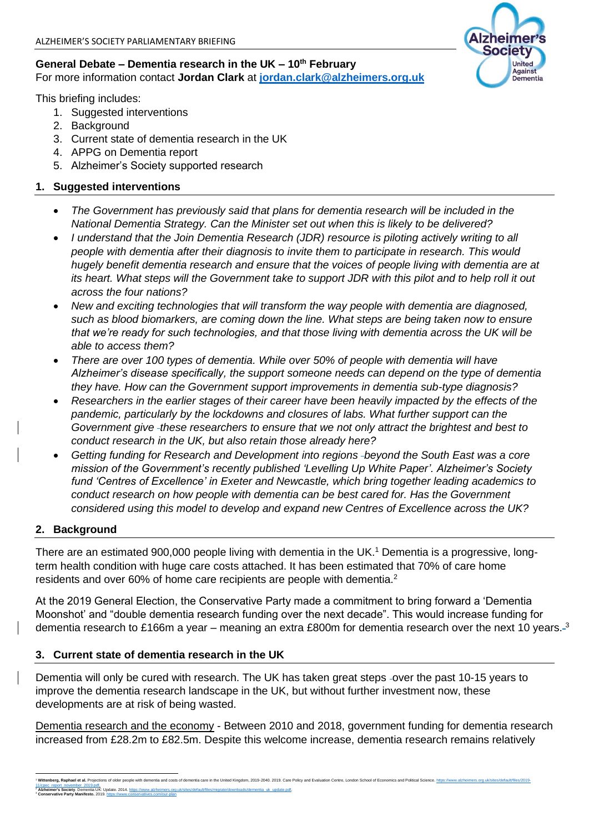### **General Debate – Dementia research in the UK – 10th February**  For more information contact **Jordan Clark** at **[jordan.clark@alzheimers.org.uk](mailto:jordan.clark@alzheimers.org.uk)**

This briefing includes:

- 1. Suggested interventions
- 2. Background
- 3. Current state of dementia research in the UK
- 4. APPG on Dementia report
- 5. Alzheimer's Society supported research

## **1. Suggested interventions**

- *The Government has previously said that plans for dementia research will be included in the National Dementia Strategy. Can the Minister set out when this is likely to be delivered?*
- *I understand that the Join Dementia Research (JDR) resource is piloting actively writing to all people with dementia after their diagnosis to invite them to participate in research. This would hugely benefit dementia research and ensure that the voices of people living with dementia are at its heart. What steps will the Government take to support JDR with this pilot and to help roll it out across the four nations?*
- *New and exciting technologies that will transform the way people with dementia are diagnosed, such as blood biomarkers, are coming down the line. What steps are being taken now to ensure that we're ready for such technologies, and that those living with dementia across the UK will be able to access them?*
- *There are over 100 types of dementia. While over 50% of people with dementia will have Alzheimer's disease specifically, the support someone needs can depend on the type of dementia they have. How can the Government support improvements in dementia sub-type diagnosis?*
- *Researchers in the earlier stages of their career have been heavily impacted by the effects of the pandemic, particularly by the lockdowns and closures of labs. What further support can the Government give these researchers to ensure that we not only attract the brightest and best to conduct research in the UK, but also retain those already here?*
- *Getting funding for Research and Development into regions beyond the South East was a core mission of the Government's recently published 'Levelling Up White Paper'. Alzheimer's Society fund 'Centres of Excellence' in Exeter and Newcastle, which bring together leading academics to conduct research on how people with dementia can be best cared for. Has the Government considered using this model to develop and expand new Centres of Excellence across the UK?*

### **2. Background**

There are an estimated 900,000 people living with dementia in the UK.<sup>1</sup> Dementia is a progressive, longterm health condition with huge care costs attached. It has been estimated that 70% of care home residents and over 60% of home care recipients are people with dementia.<sup>2</sup>

At the 2019 General Election, the Conservative Party made a commitment to bring forward a 'Dementia Moonshot' and "double dementia research funding over the next decade". This would increase funding for dementia research to £166m a year – meaning an extra £800m for dementia research over the next 10 years.<sup>3</sup>

### **3. Current state of dementia research in the UK**

Dementia will only be cured with research. The UK has taken great steps -over the past 10-15 years to improve the dementia research landscape in the UK, but without further investment now, these developments are at risk of being wasted.

Dementia research and the economy - Between 2010 and 2018, government funding for dementia research increased from £28.2m to £82.5m. Despite this welcome increase, dementia research remains relatively

**rrg, Raphael et al.** Projections of older people with dementia and costs of dementia care in the United Kingdom. 2019-2040. 2019. Care Policy and Fv: <u>[11/cpec\\_report\\_november\\_2019.pdf.](https://www.alzheimers.org.uk/sites/default/files/2019-11/cpec_report_november_2019.pdf)</u><br><sup>2</sup> **Azheimer's Society. Dementia UK: Update. 2014**. <u>https://www.alzheimers.org.uk/sites/default/files/migrate/downloads/dementia\_uk\_update.pdf.<br><sup>3</sup> **Conservative Party Manifesto. 2019.</u>**